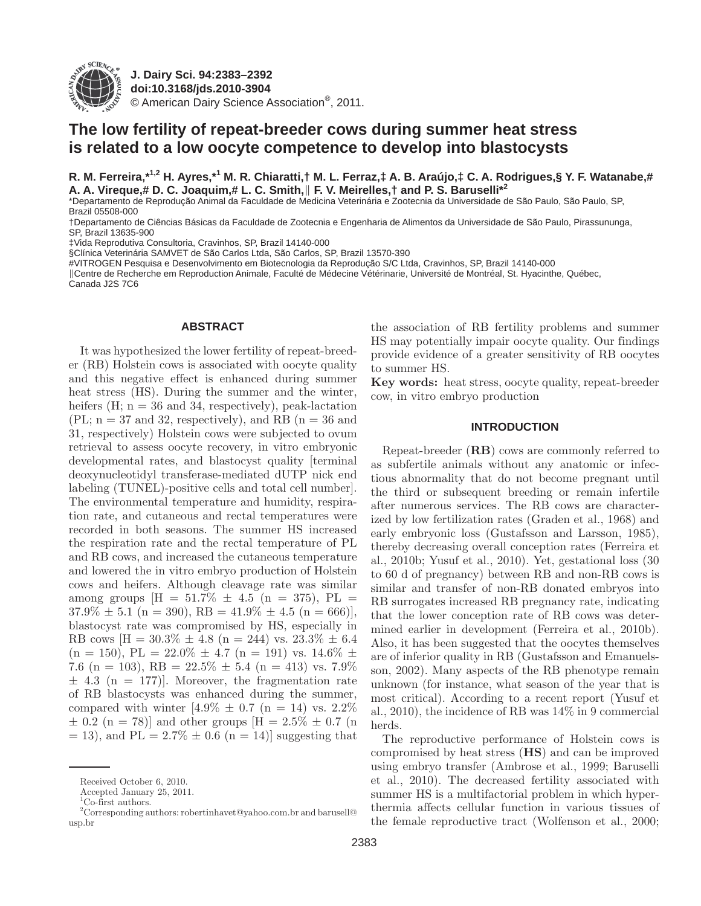

**J. Dairy Sci. 94 :2383–2392 doi: 10.3168/jds.2010-3904**  © American Dairy Science Association®, 2011 .

# **The low fertility of repeat-breeder cows during summer heat stress is related to a low oocyte competence to develop into blastocysts**

R. M. Ferreira,\*<sup>1,2</sup> H. Ayres,\*<sup>1</sup> M. R. Chiaratti,† M. L. Ferraz,‡ A. B. Araújo,‡ C. A. Rodrigues,§ Y. F. Watanabe,# **A. A. Vireque,# D. C. Joaquim,# L. C. Smith, F. V. Meirelles, † and P. S. Baruselli** \*2

\* Departamento de Reprodução Animal da Faculdade de Medicina Veterinária e Zootecnia da Universidade de São Paulo, São Paulo, SP, Brazil 05508-000

† Departamento de Ciências Básicas da Faculdade de Zootecnia e Engenharia de Alimentos da Universidade de São Paulo, Pirassununga, SP, Brazil 13635-900

‡ Vida Reprodutiva Consultoria, Cravinhos, SP, Brazil 14140-000

§ Clínica Veterinária SAMVET de São Carlos Ltda, São Carlos, SP, Brazil 13570-390

# VITROGEN Pesquisa e Desenvolvimento em Biotecnologia da Reprodução S/C Ltda, Cravinhos, SP, Brazil 14140-000

ϦCentre de Recherche em Reproduction Animale, Faculté de Médecine Vétérinarie, Université de Montréal, St. Hyacinthe, Québec,

Canada J2S 7C6

## **ABSTRACT**

It was hypothesized the lower fertility of repeat-breeder (RB) Holstein cows is associated with oocyte quality and this negative effect is enhanced during summer heat stress (HS). During the summer and the winter, heifers  $(H; n = 36 \text{ and } 34$ , respectively), peak-lactation  $(PL; n = 37 \text{ and } 32,$  respectively), and RB  $(n = 36 \text{ and } 32)$ 31, respectively) Holstein cows were subjected to ovum retrieval to assess oocyte recovery, in vitro embryonic developmental rates, and blastocyst quality [terminal deoxynucleotidyl transferase-mediated dUTP nick end labeling (TUNEL)-positive cells and total cell number]. The environmental temperature and humidity, respiration rate, and cutaneous and rectal temperatures were recorded in both seasons. The summer HS increased the respiration rate and the rectal temperature of PL and RB cows, and increased the cutaneous temperature and lowered the in vitro embryo production of Holstein cows and heifers. Although cleavage rate was similar among groups  $[H = 51.7\% \pm 4.5 \ (n = 375), \ PL =$  $37.9\% \pm 5.1$  (n = 390), RB =  $41.9\% \pm 4.5$  (n = 666)], blastocyst rate was compromised by HS, especially in RB cows  $[H = 30.3\% \pm 4.8 \ (n = 244) \text{ vs. } 23.3\% \pm 6.4]$  $(n = 150)$ , PL = 22.0%  $\pm$  4.7  $(n = 191)$  vs. 14.6%  $\pm$ 7.6 (n = 103), RB =  $22.5\% \pm 5.4$  (n = 413) vs. 7.9%  $\pm$  4.3 (n = 177). Moreover, the fragmentation rate of RB blastocysts was enhanced during the summer, compared with winter  $[4.9\% \pm 0.7 \; (n = 14) \; \text{vs.} \; 2.2\%$  $\pm$  0.2 (n = 78)] and other groups [H = 2.5%  $\pm$  0.7 (n  $= 13$ ), and PL  $= 2.7\% \pm 0.6$  (n  $= 14$ ) suggesting that the association of RB fertility problems and summer HS may potentially impair oocyte quality. Our findings provide evidence of a greater sensitivity of RB oocytes to summer HS.

Key words: heat stress, oocyte quality, repeat-breeder cow, in vitro embryo production

## **INTRODUCTION**

Repeat-breeder (**RB**) cows are commonly referred to as subfertile animals without any anatomic or infectious abnormality that do not become pregnant until the third or subsequent breeding or remain infertile after numerous services. The RB cows are characterized by low fertilization rates (Graden et al., 1968) and early embryonic loss (Gustafsson and Larsson, 1985), thereby decreasing overall conception rates (Ferreira et al., 2010b; Yusuf et al., 2010). Yet, gestational loss (30 to 60 d of pregnancy) between RB and non-RB cows is similar and transfer of non-RB donated embryos into RB surrogates increased RB pregnancy rate, indicating that the lower conception rate of RB cows was determined earlier in development (Ferreira et al., 2010b). Also, it has been suggested that the oocytes themselves are of inferior quality in RB (Gustafsson and Emanuelsson, 2002). Many aspects of the RB phenotype remain unknown (for instance, what season of the year that is most critical). According to a recent report (Yusuf et al., 2010), the incidence of RB was 14% in 9 commercial herds.

The reproductive performance of Holstein cows is compromised by heat stress (**HS**) and can be improved using embryo transfer (Ambrose et al., 1999; Baruselli et al., 2010). The decreased fertility associated with summer HS is a multifactorial problem in which hyperthermia affects cellular function in various tissues of the female reproductive tract (Wolfenson et al., 2000;

Received October 6, 2010.

Accepted January 25, 2011.

Co-first authors.

 <sup>2</sup> Corresponding authors: robertinhavet@yahoo.com.brand barusell@ usp.br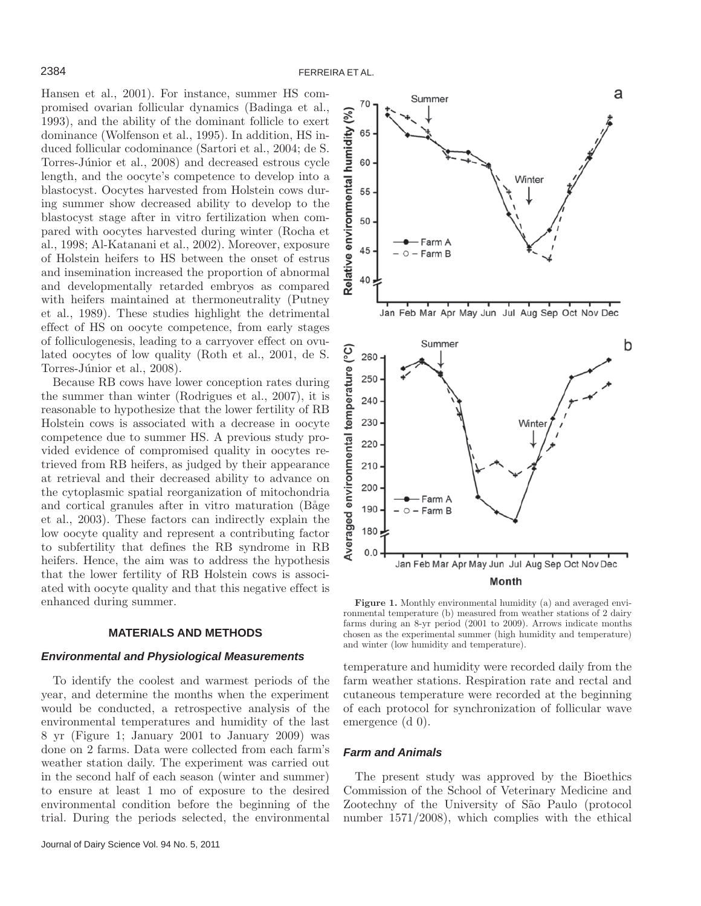Hansen et al., 2001). For instance, summer HS compromised ovarian follicular dynamics (Badinga et al., 1993), and the ability of the dominant follicle to exert dominance (Wolfenson et al., 1995). In addition, HS induced follicular codominance (Sartori et al., 2004; de S. Torres-Júnior et al., 2008) and decreased estrous cycle length, and the oocyte's competence to develop into a blastocyst. Oocytes harvested from Holstein cows during summer show decreased ability to develop to the blastocyst stage after in vitro fertilization when compared with oocytes harvested during winter (Rocha et al., 1998; Al-Katanani et al., 2002). Moreover, exposure of Holstein heifers to HS between the onset of estrus and insemination increased the proportion of abnormal and developmentally retarded embryos as compared with heifers maintained at thermoneutrality (Putney et al., 1989). These studies highlight the detrimental effect of HS on oocyte competence, from early stages of folliculogenesis, leading to a carryover effect on ovulated oocytes of low quality (Roth et al., 2001, de S. Torres-Júnior et al., 2008).

Because RB cows have lower conception rates during the summer than winter (Rodrigues et al., 2007), it is reasonable to hypothesize that the lower fertility of RB Holstein cows is associated with a decrease in oocyte competence due to summer HS. A previous study provided evidence of compromised quality in oocytes retrieved from RB heifers, as judged by their appearance at retrieval and their decreased ability to advance on the cytoplasmic spatial reorganization of mitochondria and cortical granules after in vitro maturation (Båge et al., 2003). These factors can indirectly explain the low oocyte quality and represent a contributing factor to subfertility that defines the RB syndrome in RB heifers. Hence, the aim was to address the hypothesis that the lower fertility of RB Holstein cows is associated with oocyte quality and that this negative effect is enhanced during summer.

## **MATERIALS AND METHODS**

#### *Environmental and Physiological Measurements*

To identify the coolest and warmest periods of the year, and determine the months when the experiment would be conducted, a retrospective analysis of the environmental temperatures and humidity of the last 8 yr (Figure 1; January 2001 to January 2009) was done on 2 farms. Data were collected from each farm's weather station daily. The experiment was carried out in the second half of each season (winter and summer) to ensure at least 1 mo of exposure to the desired environmental condition before the beginning of the trial. During the periods selected, the environmental



**Figure 1.** Monthly environmental humidity (a) and averaged environmental temperature (b) measured from weather stations of 2 dairy farms during an 8-yr period (2001 to 2009). Arrows indicate months chosen as the experimental summer (high humidity and temperature) and winter (low humidity and temperature).

temperature and humidity were recorded daily from the farm weather stations. Respiration rate and rectal and cutaneous temperature were recorded at the beginning of each protocol for synchronization of follicular wave emergence (d 0).

#### *Farm and Animals*

The present study was approved by the Bioethics Commission of the School of Veterinary Medicine and Zootechny of the University of São Paulo (protocol number 1571/2008), which complies with the ethical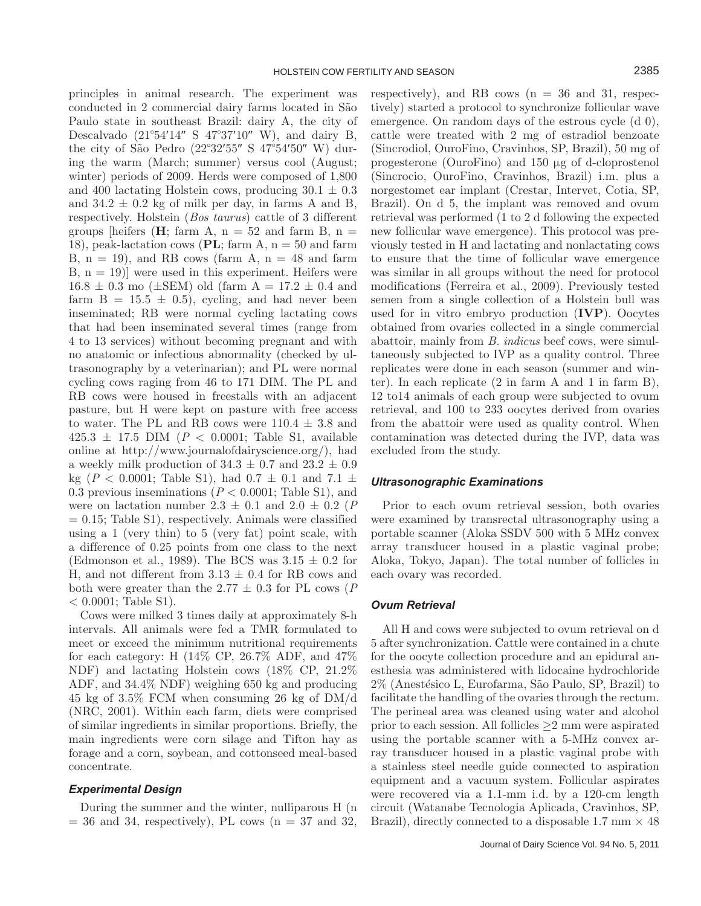principles in animal research. The experiment was conducted in 2 commercial dairy farms located in São Paulo state in southeast Brazil: dairy A, the city of Descalvado  $(21^{\circ}54'14''$  S  $47^{\circ}37'10''$  W), and dairy B, the city of São Pedro  $(22^{\circ}32'55''$  S  $47^{\circ}54'50''$  W) during the warm (March; summer) versus cool (August; winter) periods of 2009. Herds were composed of 1,800 and 400 lactating Holstein cows, producing  $30.1 \pm 0.3$ and  $34.2 \pm 0.2$  kg of milk per day, in farms A and B, respectively. Holstein (*Bos taurus*) cattle of 3 different groups [heifers  $(H; \text{ farm } A, n = 52 \text{ and farm } B, n =$ 18), peak-lactation cows ( $PL$ ; farm A,  $n = 50$  and farm B,  $n = 19$ ), and RB cows (farm A,  $n = 48$  and farm B,  $n = 19$ ) were used in this experiment. Heifers were  $16.8 \pm 0.3$  mo ( $\pm$ SEM) old (farm A = 17.2  $\pm$  0.4 and farm  $B = 15.5 \pm 0.5$ , cycling, and had never been inseminated; RB were normal cycling lactating cows that had been inseminated several times (range from 4 to 13 services) without becoming pregnant and with no anatomic or infectious abnormality (checked by ultrasonography by a veterinarian); and PL were normal cycling cows raging from 46 to 171 DIM. The PL and RB cows were housed in freestalls with an adjacent pasture, but H were kept on pasture with free access to water. The PL and RB cows were  $110.4 \pm 3.8$  and  $425.3 \pm 17.5$  DIM ( $P < 0.0001$ ; Table S1, available online at http://www.journalofdairyscience.org/), had a weekly milk production of  $34.3 \pm 0.7$  and  $23.2 \pm 0.9$ kg ( $P < 0.0001$ ; Table S1), had  $0.7 \pm 0.1$  and  $7.1 \pm 1.1$ 0.3 previous inseminations (*P* < 0.0001; Table S1), and were on lactation number  $2.3 \pm 0.1$  and  $2.0 \pm 0.2$  (*P*  $= 0.15$ ; Table S1), respectively. Animals were classified using a 1 (very thin) to 5 (very fat) point scale, with a difference of 0.25 points from one class to the next (Edmonson et al., 1989). The BCS was  $3.15 \pm 0.2$  for H, and not different from  $3.13 \pm 0.4$  for RB cows and both were greater than the  $2.77 \pm 0.3$  for PL cows (*P*)  $< 0.0001$ ; Table S1).

Cows were milked 3 times daily at approximately 8-h intervals. All animals were fed a TMR formulated to meet or exceed the minimum nutritional requirements for each category: H  $(14\% \text{ CP}, 26.7\% \text{ ADF}, \text{ and } 47\%$ NDF) and lactating Holstein cows (18% CP, 21.2% ADF, and 34.4% NDF) weighing 650 kg and producing 45 kg of 3.5% FCM when consuming 26 kg of DM/d (NRC, 2001). Within each farm, diets were comprised of similar ingredients in similar proportions. Briefly, the main ingredients were corn silage and Tifton hay as forage and a corn, soybean, and cottonseed meal-based concentrate.

## **Experimental Design**

During the summer and the winter, nulliparous H (n  $=$  36 and 34, respectively), PL cows (n  $=$  37 and 32, respectively), and RB cows  $(n = 36 \text{ and } 31, \text{ respectively})$ tively) started a protocol to synchronize follicular wave emergence. On random days of the estrous cycle (d 0), cattle were treated with 2 mg of estradiol benzoate (Sincrodiol, OuroFino, Cravinhos, SP, Brazil), 50 mg of progesterone (OuroFino) and 150 μg of d-cloprostenol (Sincrocio, OuroFino, Cravinhos, Brazil) i.m. plus a norgestomet ear implant (Crestar, Intervet, Cotia, SP, Brazil). On d 5, the implant was removed and ovum retrieval was performed (1 to 2 d following the expected new follicular wave emergence). This protocol was previously tested in H and lactating and nonlactating cows to ensure that the time of follicular wave emergence was similar in all groups without the need for protocol modifications (Ferreira et al., 2009). Previously tested semen from a single collection of a Holstein bull was used for in vitro embryo production (**IVP**). Oocytes obtained from ovaries collected in a single commercial abattoir, mainly from *B. indicus* beef cows, were simultaneously subjected to IVP as a quality control. Three replicates were done in each season (summer and winter). In each replicate (2 in farm A and 1 in farm B), 12 to14 animals of each group were subjected to ovum retrieval, and 100 to 233 oocytes derived from ovaries from the abattoir were used as quality control. When contamination was detected during the IVP, data was excluded from the study.

#### *Ultrasonographic Examinations*

Prior to each ovum retrieval session, both ovaries were examined by transrectal ultrasonography using a portable scanner (Aloka SSDV 500 with 5 MHz convex array transducer housed in a plastic vaginal probe; Aloka, Tokyo, Japan). The total number of follicles in each ovary was recorded.

## *<u>Ovum Retrieval</u>*

All H and cows were subjected to ovum retrieval on d 5 after synchronization. Cattle were contained in a chute for the oocyte collection procedure and an epidural anesthesia was administered with lidocaine hydrochloride 2% (Anestésico L, Eurofarma, São Paulo, SP, Brazil) to facilitate the handling of the ovaries through the rectum. The perineal area was cleaned using water and alcohol prior to each session. All follicles ≥2 mm were aspirated using the portable scanner with a 5-MHz convex array transducer housed in a plastic vaginal probe with a stainless steel needle guide connected to aspiration equipment and a vacuum system. Follicular aspirates were recovered via a 1.1-mm i.d. by a 120-cm length circuit (Watanabe Tecnologia Aplicada, Cravinhos, SP, Brazil), directly connected to a disposable 1.7 mm  $\times$  48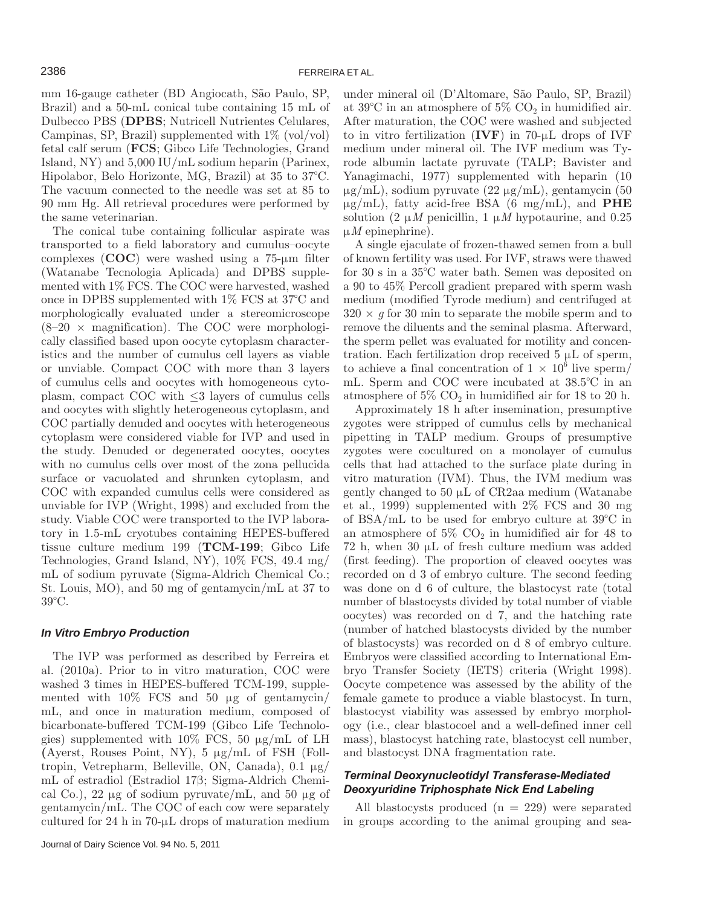mm 16-gauge catheter (BD Angiocath, São Paulo, SP, Brazil) and a 50-mL conical tube containing 15 mL of Dulbecco PBS (**DPBS**; Nutricell Nutrientes Celulares, Campinas, SP, Brazil) supplemented with 1% (vol/vol) fetal calf serum (**FCS**; Gibco Life Technologies, Grand Island, NY) and 5,000 IU/mL sodium heparin (Parinex, Hipolabor, Belo Horizonte, MG, Brazil) at 35 to 37°C. The vacuum connected to the needle was set at 85 to 90 mm Hg. All retrieval procedures were performed by the same veterinarian.

The conical tube containing follicular aspirate was transported to a field laboratory and cumulus–oocyte complexes (**COC**) were washed using a 75-μm filter (Watanabe Tecnologia Aplicada) and DPBS supplemented with 1% FCS. The COC were harvested, washed once in DPBS supplemented with 1% FCS at 37°C and morphologically evaluated under a stereomicroscope  $(8-20 \times$  magnification). The COC were morphologically classified based upon oocyte cytoplasm characteristics and the number of cumulus cell layers as viable or unviable. Compact COC with more than 3 layers of cumulus cells and oocytes with homogeneous cytoplasm, compact COC with  $\leq$ 3 layers of cumulus cells and oocytes with slightly heterogeneous cytoplasm, and COC partially denuded and oocytes with heterogeneous cytoplasm were considered viable for IVP and used in the study. Denuded or degenerated oocytes, oocytes with no cumulus cells over most of the zona pellucida surface or vacuolated and shrunken cytoplasm, and COC with expanded cumulus cells were considered as unviable for IVP (Wright, 1998) and excluded from the study. Viable COC were transported to the IVP laboratory in 1.5-mL cryotubes containing HEPES-buffered tissue culture medium 199 (**TCM-199**; Gibco Life Technologies, Grand Island, NY), 10% FCS, 49.4 mg/ mL of sodium pyruvate (Sigma-Aldrich Chemical Co.; St. Louis, MO), and 50 mg of gentamycin/mL at 37 to 39°C.

## *In Vitro Embryo Production*

The IVP was performed as described by Ferreira et al. (2010a). Prior to in vitro maturation, COC were washed 3 times in HEPES-buffered TCM-199, supplemented with  $10\%$  FCS and 50 μg of gentamycin/ mL, and once in maturation medium, composed of bicarbonate-buffered TCM-199 (Gibco Life Technologies) supplemented with  $10\%$  FCS,  $50 \mu g/mL$  of LH **(**Ayerst, Rouses Point, NY), 5 μg/mL of FSH (Folltropin, Vetrepharm, Belleville, ON, Canada), 0.1 μg/ mL of estradiol (Estradiol 17β; Sigma-Aldrich Chemical Co.), 22 μg of sodium pyruvate/mL, and 50 μg of gentamycin/mL. The COC of each cow were separately cultured for 24 h in 70-μL drops of maturation medium

under mineral oil (D'Altomare, São Paulo, SP, Brazil) at 39 $\degree$ C in an atmosphere of 5%  $\degree$ CO<sub>2</sub> in humidified air. After maturation, the COC were washed and subjected to in vitro fertilization (**IVF**) in 70-μL drops of IVF medium under mineral oil. The IVF medium was Tyrode albumin lactate pyruvate (TALP; Bavister and Yanagimachi, 1977) supplemented with heparin (10  $\mu$ g/mL), sodium pyruvate (22  $\mu$ g/mL), gentamycin (50 μg/mL), fatty acid-free BSA (6 mg/mL), and **PHE** solution  $(2 \mu M)$  penicillin,  $1 \mu M$  hypotaurine, and  $0.25$ μ*M* epinephrine).

A single ejaculate of frozen-thawed semen from a bull of known fertility was used. For IVF, straws were thawed for 30 s in a 35°C water bath. Semen was deposited on a 90 to 45% Percoll gradient prepared with sperm wash medium (modified Tyrode medium) and centrifuged at  $320 \times g$  for 30 min to separate the mobile sperm and to remove the diluents and the seminal plasma. Afterward, the sperm pellet was evaluated for motility and concentration. Each fertilization drop received 5 μL of sperm, to achieve a final concentration of  $1 \times 10^6$  live sperm/ mL. Sperm and COC were incubated at 38.5°C in an atmosphere of  $5\%$  CO<sub>2</sub> in humidified air for 18 to 20 h.

Approximately 18 h after insemination, presumptive zygotes were stripped of cumulus cells by mechanical pipetting in TALP medium. Groups of presumptive zygotes were cocultured on a monolayer of cumulus cells that had attached to the surface plate during in vitro maturation (IVM). Thus, the IVM medium was gently changed to 50 μL of CR2aa medium (Watanabe et al., 1999) supplemented with 2% FCS and 30 mg of BSA/mL to be used for embryo culture at 39°C in an atmosphere of  $5\%$  CO<sub>2</sub> in humidified air for 48 to 72 h, when 30 μL of fresh culture medium was added (first feeding). The proportion of cleaved oocytes was recorded on d 3 of embryo culture. The second feeding was done on d 6 of culture, the blastocyst rate (total number of blastocysts divided by total number of viable oocytes) was recorded on d 7, and the hatching rate (number of hatched blastocysts divided by the number of blastocysts) was recorded on d 8 of embryo culture. Embryos were classified according to International Embryo Transfer Society (IETS) criteria (Wright 1998). Oocyte competence was assessed by the ability of the female gamete to produce a viable blastocyst. In turn, blastocyst viability was assessed by embryo morphology (i.e., clear blastocoel and a well-defined inner cell mass), blastocyst hatching rate, blastocyst cell number, and blastocyst DNA fragmentation rate.

# **Terminal Deoxynucleotidyl Transferase-Mediated Deoxyuridine Triphosphate Nick End Labeling**

All blastocysts produced  $(n = 229)$  were separated in groups according to the animal grouping and sea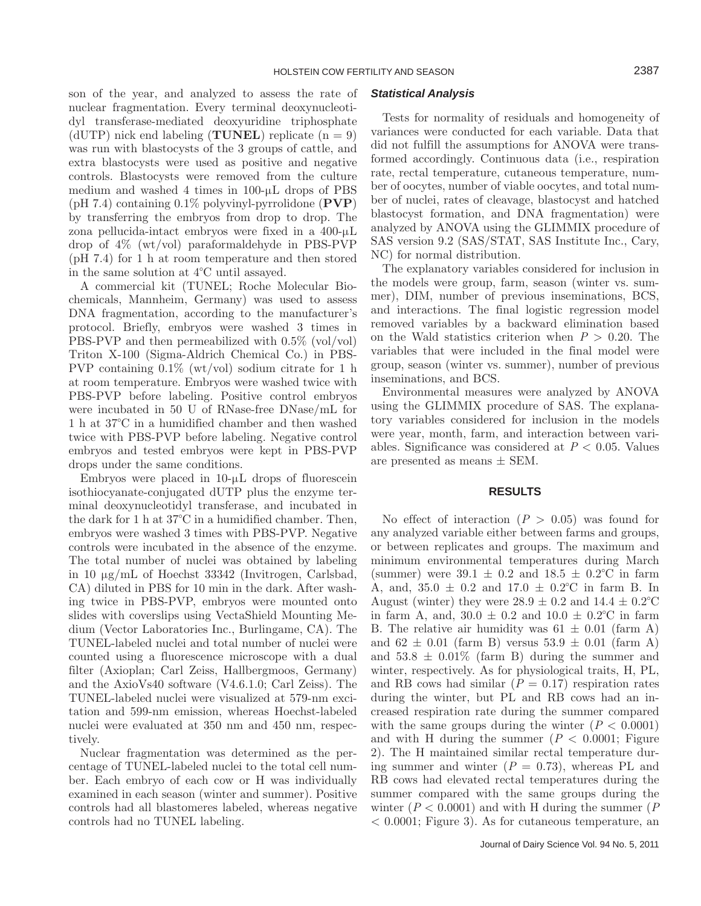son of the year, and analyzed to assess the rate of nuclear fragmentation. Every terminal deoxynucleotidyl transferase-mediated deoxyuridine triphosphate (dUTP) nick end labeling (**TUNEL**) replicate  $(n = 9)$ was run with blastocysts of the 3 groups of cattle, and extra blastocysts were used as positive and negative controls. Blastocysts were removed from the culture medium and washed 4 times in 100-μL drops of PBS (pH 7.4) containing 0.1% polyvinyl-pyrrolidone (**PVP**) by transferring the embryos from drop to drop. The zona pellucida-intact embryos were fixed in a 400-μL drop of 4% (wt/vol) paraformaldehyde in PBS-PVP (pH 7.4) for 1 h at room temperature and then stored in the same solution at 4°C until assayed.

A commercial kit (TUNEL; Roche Molecular Biochemicals, Mannheim, Germany) was used to assess DNA fragmentation, according to the manufacturer's protocol. Briefly, embryos were washed 3 times in PBS-PVP and then permeabilized with 0.5% (vol/vol) Triton X-100 (Sigma-Aldrich Chemical Co.) in PBS-PVP containing 0.1% (wt/vol) sodium citrate for 1 h at room temperature. Embryos were washed twice with PBS-PVP before labeling. Positive control embryos were incubated in 50 U of RNase-free DNase/mL for 1 h at 37°C in a humidified chamber and then washed twice with PBS-PVP before labeling. Negative control embryos and tested embryos were kept in PBS-PVP drops under the same conditions.

Embryos were placed in  $10-\mu L$  drops of fluorescein isothiocyanate-conjugated dUTP plus the enzyme terminal deoxynucleotidyl transferase, and incubated in the dark for 1 h at 37°C in a humidified chamber. Then, embryos were washed 3 times with PBS-PVP. Negative controls were incubated in the absence of the enzyme. The total number of nuclei was obtained by labeling in 10 μg/mL of Hoechst 33342 (Invitrogen, Carlsbad, CA) diluted in PBS for 10 min in the dark. After washing twice in PBS-PVP, embryos were mounted onto slides with coverslips using VectaShield Mounting Medium (Vector Laboratories Inc., Burlingame, CA). The TUNEL-labeled nuclei and total number of nuclei were counted using a fluorescence microscope with a dual filter (Axioplan; Carl Zeiss, Hallbergmoos, Germany) and the AxioVs40 software (V4.6.1.0; Carl Zeiss). The TUNEL-labeled nuclei were visualized at 579-nm excitation and 599-nm emission, whereas Hoechst-labeled nuclei were evaluated at 350 nm and 450 nm, respectively.

Nuclear fragmentation was determined as the percentage of TUNEL-labeled nuclei to the total cell number. Each embryo of each cow or H was individually examined in each season (winter and summer). Positive controls had all blastomeres labeled, whereas negative controls had no TUNEL labeling.

#### *Statistical Analysis*

Tests for normality of residuals and homogeneity of variances were conducted for each variable. Data that did not fulfill the assumptions for ANOVA were transformed accordingly. Continuous data (i.e., respiration rate, rectal temperature, cutaneous temperature, number of oocytes, number of viable oocytes, and total number of nuclei, rates of cleavage, blastocyst and hatched blastocyst formation, and DNA fragmentation) were analyzed by ANOVA using the GLIMMIX procedure of SAS version 9.2 (SAS/STAT, SAS Institute Inc., Cary, NC) for normal distribution.

The explanatory variables considered for inclusion in the models were group, farm, season (winter vs. summer), DIM, number of previous inseminations, BCS, and interactions. The final logistic regression model removed variables by a backward elimination based on the Wald statistics criterion when  $P > 0.20$ . The variables that were included in the final model were group, season (winter vs. summer), number of previous inseminations, and BCS.

Environmental measures were analyzed by ANOVA using the GLIMMIX procedure of SAS. The explanatory variables considered for inclusion in the models were year, month, farm, and interaction between variables. Significance was considered at  $P < 0.05$ . Values are presented as means ± SEM.

## **RESULTS**

No effect of interaction  $(P > 0.05)$  was found for any analyzed variable either between farms and groups, or between replicates and groups. The maximum and minimum environmental temperatures during March (summer) were  $39.1 \pm 0.2$  and  $18.5 \pm 0.2$ °C in farm A, and,  $35.0 \pm 0.2$  and  $17.0 \pm 0.2$ °C in farm B. In August (winter) they were  $28.9 \pm 0.2$  and  $14.4 \pm 0.2$ °C in farm A, and,  $30.0 \pm 0.2$  and  $10.0 \pm 0.2$ °C in farm B. The relative air humidity was  $61 \pm 0.01$  (farm A) and  $62 \pm 0.01$  (farm B) versus  $53.9 \pm 0.01$  (farm A) and  $53.8 \pm 0.01\%$  (farm B) during the summer and winter, respectively. As for physiological traits, H, PL, and RB cows had similar  $(P = 0.17)$  respiration rates during the winter, but PL and RB cows had an increased respiration rate during the summer compared with the same groups during the winter  $(P < 0.0001)$ and with H during the summer  $(P < 0.0001;$  Figure 2). The H maintained similar rectal temperature during summer and winter  $(P = 0.73)$ , whereas PL and RB cows had elevated rectal temperatures during the summer compared with the same groups during the winter  $(P < 0.0001)$  and with H during the summer  $(P<sub>0.0001</sub>)$ < 0.0001; Figure 3). As for cutaneous temperature, an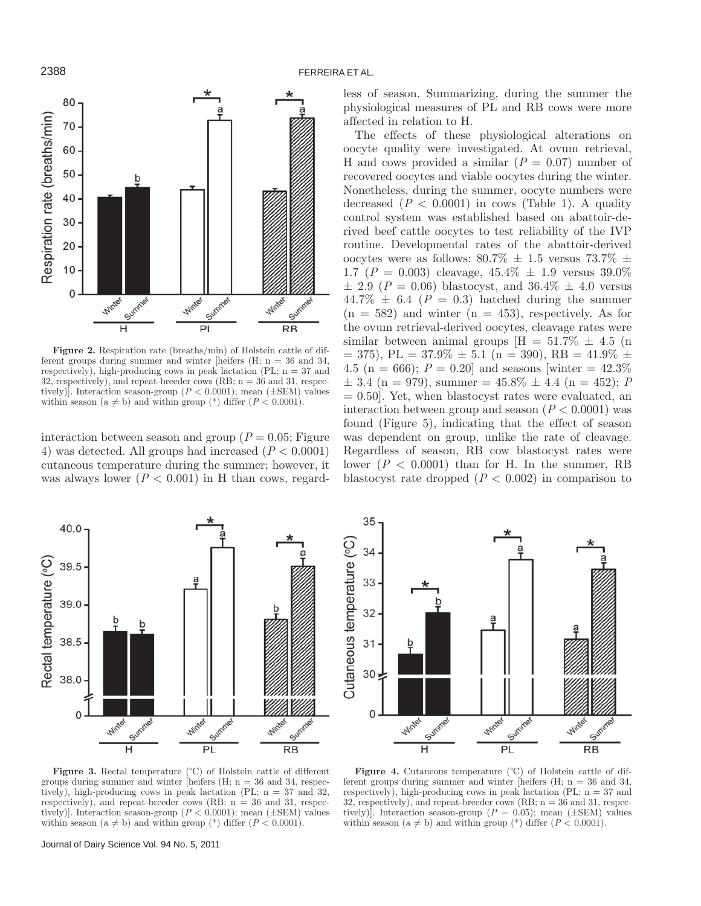

**Figure 2.** Respiration rate (breaths/min) of Holstein cattle of different groups during summer and winter [heifers  $(H; n = 36$  and 34, respectively), high-producing cows in peak lactation (PL;  $n = 37$  and 32, respectively), and repeat-breeder cows  $(RB; n = 36$  and 31, respectively)]. Interaction season-group ( $P < 0.0001$ ); mean ( $\pm$ SEM) values within season  $(a \neq b)$  and within group  $(*)$  differ  $(P < 0.0001)$ .

interaction between season and group  $(P = 0.05;$  Figure 4) was detected. All groups had increased (*P* < 0.0001) cutaneous temperature during the summer; however, it was always lower  $(P < 0.001)$  in H than cows, regardless of season. Summarizing, during the summer the physiological measures of PL and RB cows were more affected in relation to H.

The effects of these physiological alterations on oocyte quality were investigated. At ovum retrieval, H and cows provided a similar  $(P = 0.07)$  number of recovered oocytes and viable oocytes during the winter. Nonetheless, during the summer, oocyte numbers were decreased  $(P < 0.0001)$  in cows (Table 1). A quality control system was established based on abattoir-derived beef cattle oocytes to test reliability of the IVP routine. Developmental rates of the abattoir-derived oocytes were as follows:  $80.7\% \pm 1.5$  versus  $73.7\% \pm 1.5$ 1.7 ( $P = 0.003$ ) cleavage,  $45.4\% \pm 1.9$  versus  $39.0\%$  $\pm$  2.9 (*P* = 0.06) blastocyst, and 36.4\%  $\pm$  4.0 versus  $44.7\% \pm 6.4$  ( $P = 0.3$ ) hatched during the summer  $(n = 582)$  and winter  $(n = 453)$ , respectively. As for the ovum retrieval-derived oocytes, cleavage rates were similar between animal groups  $[H = 51.7\% \pm 4.5 \text{ (n)}]$  $=$  375), PL  $=$  37.9%  $\pm$  5.1 (n  $=$  390), RB  $=$  41.9%  $\pm$ 4.5 (n = 666);  $P = 0.20$  and seasons [winter =  $42.3\%$  $\pm$  3.4 (n = 979), summer = 45.8%  $\pm$  4.4 (n = 452); *P*  $= 0.50$ . Yet, when blastocyst rates were evaluated, an interaction between group and season  $(P < 0.0001)$  was found (Figure 5), indicating that the effect of season was dependent on group, unlike the rate of cleavage. Regardless of season, RB cow blastocyst rates were lower  $(P < 0.0001)$  than for H. In the summer, RB blastocyst rate dropped  $(P < 0.002)$  in comparison to





**Figure 3.** Rectal temperature (°C) of Holstein cattle of different groups during summer and winter [heifers  $(H; n = 36$  and 34, respectively), high-producing cows in peak lactation (PL;  $n = 37$  and 32, respectively), and repeat-breeder cows (RB;  $n = 36$  and 31, respectively)]. Interaction season-group  $(P < 0.0001)$ ; mean  $(\pm$ SEM) values within season  $(a \neq b)$  and within group  $(*)$  differ  $(P < 0.0001)$ .

**Figure 4.** Cutaneous temperature (°C) of Holstein cattle of different groups during summer and winter [heifers  $(H; n = 36$  and 34, respectively), high-producing cows in peak lactation (PL;  $n = 37$  and 32, respectively), and repeat-breeder cows  $(RB; n = 36$  and 31, respectively). Interaction season-group  $(P = 0.05)$ ; mean  $(\pm$ SEM) values within season  $(a \neq b)$  and within group  $(*)$  differ  $(P < 0.0001)$ .

Journal of Dairy Science Vol. 94 No. 5, 2011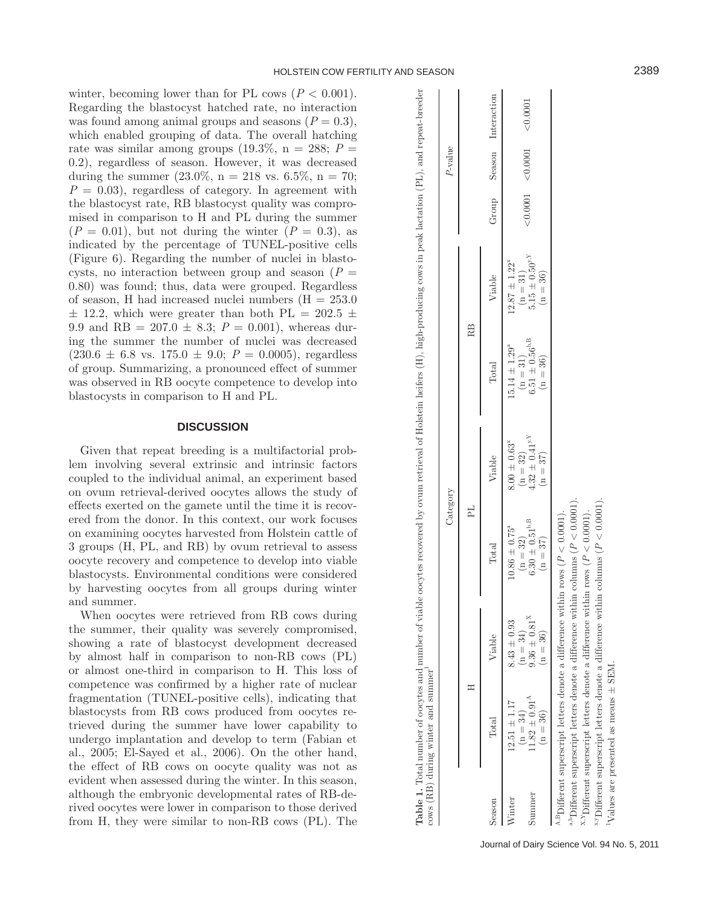winter, becoming lower than for PL cows  $(P < 0.001)$ . Regarding the blastocyst hatched rate, no interaction was found among animal groups and seasons  $(P = 0.3)$ , which enabled grouping of data. The overall hatching rate was similar among groups  $(19.3\%, n = 288; P =$ 0.2), regardless of season. However, it was decreased during the summer  $(23.0\%, n = 218 \text{ vs. } 6.5\%, n = 70;$  $P = 0.03$ , regardless of category. In agreement with the blastocyst rate, RB blastocyst quality was compromised in comparison to H and PL during the summer  $(P = 0.01)$ , but not during the winter  $(P = 0.3)$ , as indicated by the percentage of TUNEL-positive cells (Figure 6). Regarding the number of nuclei in blastocysts, no interaction between group and season  $(P =$ 0.80) was found; thus, data were grouped. Regardless of season, H had increased nuclei numbers  $(H = 253.0)$  $\pm$  12.2, which were greater than both PL = 202.5  $\pm$ 9.9 and RB =  $207.0 \pm 8.3$ ;  $P = 0.001$ ), whereas during the summer the number of nuclei was decreased  $(230.6 \pm 6.8 \text{ vs. } 175.0 \pm 9.0; P = 0.0005)$ , regardless of group. Summarizing, a pronounced effect of summer was observed in RB oocyte competence to develop into blastocysts in comparison to H and PL.

#### **DISCUSSION**

Given that repeat breeding is a multifactorial problem involving several extrinsic and intrinsic factors coupled to the individual animal, an experiment based on ovum retrieval-derived oocytes allows the study of effects exerted on the gamete until the time it is recovered from the donor. In this context, our work focuses on examining oocytes harvested from Holstein cattle of 3 groups (H, PL, and RB) by ovum retrieval to assess oocyte recovery and competence to develop into viable blastocysts. Environmental conditions were considered by harvesting oocytes from all groups during winter and summer.

When oocytes were retrieved from RB cows during the summer, their quality was severely compromised, showing a rate of blastocyst development decreased by almost half in comparison to non-RB cows (PL) or almost one-third in comparison to H. This loss of competence was confirmed by a higher rate of nuclear fragmentation (TUNEL-positive cells), indicating that blastocysts from RB cows produced from oocytes retrieved during the summer have lower capability to undergo implantation and develop to term (Fabian et al., 2005; El-Sayed et al., 2006). On the other hand, the effect of RB cows on oocyte quality was not as evident when assessed during the winter. In this season, although the embryonic developmental rates of RB-derived oocytes were lower in comparison to those derived from H, they were similar to non-RB cows (PL). The

|                  |                                                                                                                                                                                                                                                                                                                                                                                                                                                          |                                                                             | Category                                                                            |                                                                                  |                                                                                       |                                                                                                        | $P$ -value            |                          |
|------------------|----------------------------------------------------------------------------------------------------------------------------------------------------------------------------------------------------------------------------------------------------------------------------------------------------------------------------------------------------------------------------------------------------------------------------------------------------------|-----------------------------------------------------------------------------|-------------------------------------------------------------------------------------|----------------------------------------------------------------------------------|---------------------------------------------------------------------------------------|--------------------------------------------------------------------------------------------------------|-----------------------|--------------------------|
|                  | T                                                                                                                                                                                                                                                                                                                                                                                                                                                        |                                                                             | $\Xi$                                                                               |                                                                                  | RB                                                                                    |                                                                                                        |                       |                          |
| Season           | $\rm Total$                                                                                                                                                                                                                                                                                                                                                                                                                                              | Viable                                                                      | $\rm Total$                                                                         | Viable                                                                           | Total                                                                                 | Viable                                                                                                 |                       | Group Season Interaction |
| Summer<br>Winter | $11.82 \pm 0.91^{\rm A}$<br>$12.51 \pm 1.17$<br>$(n = 34)$<br>$(n = 36)$                                                                                                                                                                                                                                                                                                                                                                                 | $9.36\,\pm\,0.81^\mathrm{X}$<br>$8.43 \pm 0.93$<br>$(n = 34)$<br>$(n = 36)$ | $6.30\,\pm\,0.51^{\rm b,B}$<br>$10.86 \pm 0.75^{\circ}$<br>$(n = 32)$<br>$(n = 37)$ | $4.32 \pm 0.41^{y,Y}$<br>$8.00 \pm 0.63^x$<br>$\left( n=32\right)$<br>$(n = 37)$ | $6.51 \pm 0.56^{\rm b,B}$<br>$15.14 \pm 1.29^a$<br>$\left( n=31\right)$<br>$(n = 36)$ | $\begin{array}{l} \rm (n=31) \\ 5.15\pm0.50^{\rm y,Y} \end{array}$<br>$12.87 \pm 1.22^x$<br>$(n = 36)$ | $< 0.0001$ $< 0.0001$ | < 0.0001                 |
|                  | <sup>a,b</sup> Different superscript letters denote a difference within columns ( $P < 0.0001$ ).<br><sup>83</sup> Different superscript letters denote a difference within columns ( $P < 0.0001$ ).<br>${}^{\textsc{X,Y}}$ Different superscript letters denote a difference within rows (P $<0.0001$ ).<br><sup>A,B</sup> Different superscript letters denote a difference within rows ( $P < 0.0001$ ).<br>Values are presented as means $\pm$ SEM. |                                                                             |                                                                                     |                                                                                  |                                                                                       |                                                                                                        |                       |                          |

Journal of Dairy Science Vol. 94 No. 5, 2011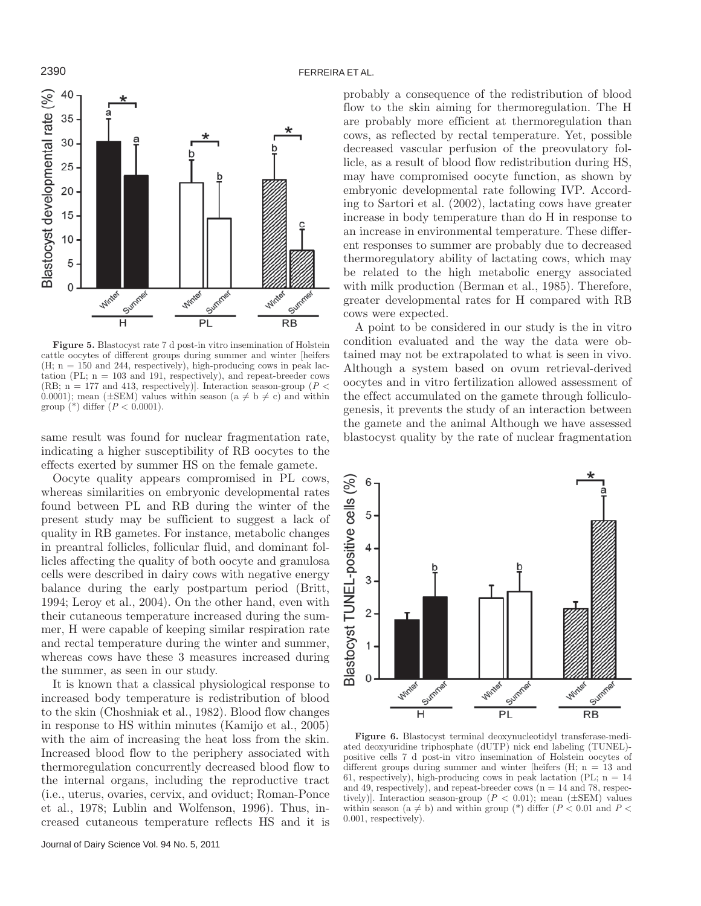

**Figure 5.** Blastocyst rate 7 d post-in vitro insemination of Holstein cattle oocytes of different groups during summer and winter [heifers  $(H; n = 150 \text{ and } 244, \text{ respectively}),$  high-producing cows in peak lactation (PL;  $n = 103$  and 191, respectively), and repeat-breeder cows (RB;  $n = 177$  and 413, respectively)]. Interaction season-group ( $P <$ 0.0001); mean ( $\pm$ SEM) values within season (a  $\neq$  b  $\neq$  c) and within group (\*) differ  $(P < 0.0001)$ .

same result was found for nuclear fragmentation rate, indicating a higher susceptibility of RB oocytes to the effects exerted by summer HS on the female gamete.

Oocyte quality appears compromised in PL cows, whereas similarities on embryonic developmental rates found between PL and RB during the winter of the present study may be sufficient to suggest a lack of quality in RB gametes. For instance, metabolic changes in preantral follicles, follicular fluid, and dominant follicles affecting the quality of both oocyte and granulosa cells were described in dairy cows with negative energy balance during the early postpartum period (Britt, 1994; Leroy et al., 2004). On the other hand, even with their cutaneous temperature increased during the summer, H were capable of keeping similar respiration rate and rectal temperature during the winter and summer, whereas cows have these 3 measures increased during the summer, as seen in our study.

It is known that a classical physiological response to increased body temperature is redistribution of blood to the skin (Choshniak et al., 1982). Blood flow changes in response to HS within minutes (Kamijo et al., 2005) with the aim of increasing the heat loss from the skin. Increased blood flow to the periphery associated with thermoregulation concurrently decreased blood flow to the internal organs, including the reproductive tract (i.e., uterus, ovaries, cervix, and oviduct; Roman-Ponce et al., 1978; Lublin and Wolfenson, 1996). Thus, increased cutaneous temperature reflects HS and it is probably a consequence of the redistribution of blood flow to the skin aiming for thermoregulation. The H are probably more efficient at thermoregulation than cows, as reflected by rectal temperature. Yet, possible decreased vascular perfusion of the preovulatory follicle, as a result of blood flow redistribution during HS, may have compromised oocyte function, as shown by embryonic developmental rate following IVP. According to Sartori et al. (2002), lactating cows have greater increase in body temperature than do H in response to an increase in environmental temperature. These different responses to summer are probably due to decreased thermoregulatory ability of lactating cows, which may be related to the high metabolic energy associated with milk production (Berman et al., 1985). Therefore, greater developmental rates for H compared with RB cows were expected.

A point to be considered in our study is the in vitro condition evaluated and the way the data were obtained may not be extrapolated to what is seen in vivo. Although a system based on ovum retrieval-derived oocytes and in vitro fertilization allowed assessment of the effect accumulated on the gamete through folliculogenesis, it prevents the study of an interaction between the gamete and the animal Although we have assessed blastocyst quality by the rate of nuclear fragmentation



**Figure 6.** Blastocyst terminal deoxynucleotidyl transferase-mediated deoxyuridine triphosphate (dUTP) nick end labeling (TUNEL) positive cells 7 d post-in vitro insemination of Holstein oocytes of different groups during summer and winter [heifers  $(H; n = 13$  and 61, respectively), high-producing cows in peak lactation (PL;  $n = 14$ and 49, respectively), and repeat-breeder cows  $(n = 14$  and 78, respectively)]. Interaction season-group (*P* < 0.01); mean (±SEM) values within season ( $a \neq b$ ) and within group (\*) differ ( $P < 0.01$  and  $P <$ 0.001, respectively).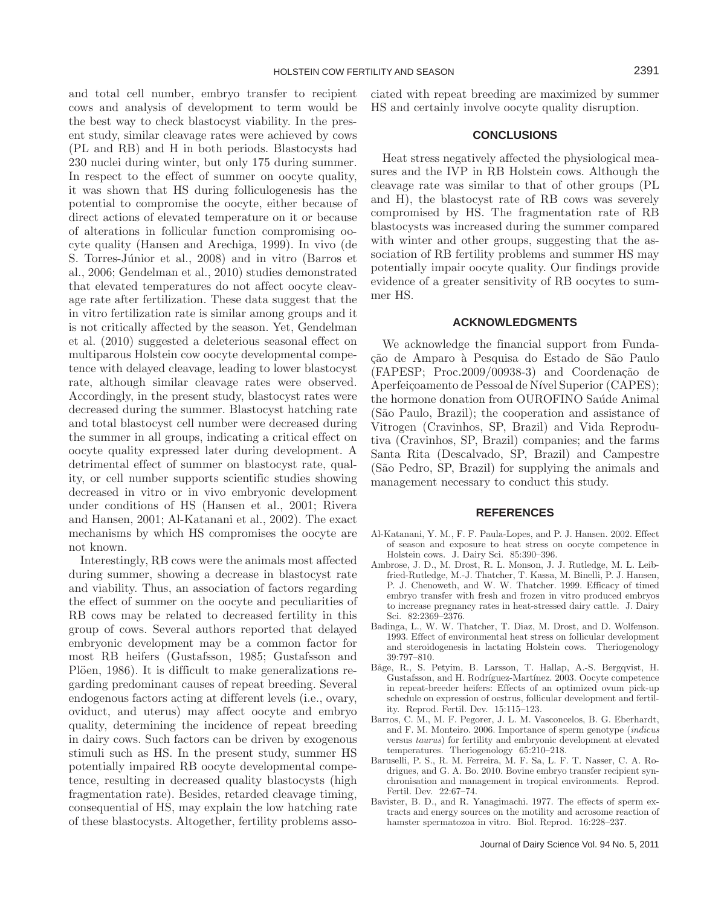and total cell number, embryo transfer to recipient cows and analysis of development to term would be the best way to check blastocyst viability. In the present study, similar cleavage rates were achieved by cows (PL and RB) and H in both periods. Blastocysts had 230 nuclei during winter, but only 175 during summer. In respect to the effect of summer on oocyte quality, it was shown that HS during folliculogenesis has the potential to compromise the oocyte, either because of direct actions of elevated temperature on it or because of alterations in follicular function compromising oocyte quality (Hansen and Arechiga, 1999). In vivo (de S. Torres-Júnior et al., 2008) and in vitro (Barros et al., 2006; Gendelman et al., 2010) studies demonstrated that elevated temperatures do not affect oocyte cleavage rate after fertilization. These data suggest that the in vitro fertilization rate is similar among groups and it is not critically affected by the season. Yet, Gendelman et al. (2010) suggested a deleterious seasonal effect on multiparous Holstein cow oocyte developmental competence with delayed cleavage, leading to lower blastocyst rate, although similar cleavage rates were observed. Accordingly, in the present study, blastocyst rates were decreased during the summer. Blastocyst hatching rate and total blastocyst cell number were decreased during the summer in all groups, indicating a critical effect on oocyte quality expressed later during development. A detrimental effect of summer on blastocyst rate, quality, or cell number supports scientific studies showing decreased in vitro or in vivo embryonic development under conditions of HS (Hansen et al., 2001; Rivera and Hansen, 2001; Al-Katanani et al., 2002). The exact mechanisms by which HS compromises the oocyte are not known.

Interestingly, RB cows were the animals most affected during summer, showing a decrease in blastocyst rate and viability. Thus, an association of factors regarding the effect of summer on the oocyte and peculiarities of RB cows may be related to decreased fertility in this group of cows. Several authors reported that delayed embryonic development may be a common factor for most RB heifers (Gustafsson, 1985; Gustafsson and Plöen, 1986). It is difficult to make generalizations regarding predominant causes of repeat breeding. Several endogenous factors acting at different levels (i.e., ovary, oviduct, and uterus) may affect oocyte and embryo quality, determining the incidence of repeat breeding in dairy cows. Such factors can be driven by exogenous stimuli such as HS. In the present study, summer HS potentially impaired RB oocyte developmental competence, resulting in decreased quality blastocysts (high fragmentation rate). Besides, retarded cleavage timing, consequential of HS, may explain the low hatching rate of these blastocysts. Altogether, fertility problems associated with repeat breeding are maximized by summer HS and certainly involve oocyte quality disruption.

#### **CONCLUSIONS**

Heat stress negatively affected the physiological measures and the IVP in RB Holstein cows. Although the cleavage rate was similar to that of other groups (PL and H), the blastocyst rate of RB cows was severely compromised by HS. The fragmentation rate of RB blastocysts was increased during the summer compared with winter and other groups, suggesting that the association of RB fertility problems and summer HS may potentially impair oocyte quality. Our findings provide evidence of a greater sensitivity of RB oocytes to summer HS.

#### **ACKNOWLEDGMENTS**

We acknowledge the financial support from Fundação de Amparo à Pesquisa do Estado de São Paulo (FAPESP; Proc.2009/00938-3) and Coordenação de Aperfeiçoamento de Pessoal de Nível Superior (CAPES); the hormone donation from OUROFINO Saúde Animal (São Paulo, Brazil); the cooperation and assistance of Vitrogen (Cravinhos, SP, Brazil) and Vida Reprodutiva (Cravinhos, SP, Brazil) companies; and the farms Santa Rita (Descalvado, SP, Brazil) and Campestre (São Pedro, SP, Brazil) for supplying the animals and management necessary to conduct this study.

## **REFERENCES**

- Al-Katanani, Y. M., F. F. Paula-Lopes, and P. J. Hansen. 2002. Effect of season and exposure to heat stress on oocyte competence in Holstein cows. J. Dairy Sci. 85:390–396.
- Ambrose, J. D., M. Drost, R. L. Monson, J. J. Rutledge, M. L. Leibfried-Rutledge, M.-J. Thatcher, T. Kassa, M. Binelli, P. J. Hansen, P. J. Chenoweth, and W. W. Thatcher. 1999. Efficacy of timed embryo transfer with fresh and frozen in vitro produced embryos to increase pregnancy rates in heat-stressed dairy cattle. J. Dairy Sci. 82:2369–2376.
- Badinga, L., W. W. Thatcher, T. Diaz, M. Drost, and D. Wolfenson. 1993. Effect of environmental heat stress on follicular development and steroidogenesis in lactating Holstein cows. Theriogenology 39:797–810.
- Båge, R., S. Petyim, B. Larsson, T. Hallap, A.-S. Bergqvist, H. Gustafsson, and H. Rodríguez-Martínez. 2003. Oocyte competence in repeat-breeder heifers: Effects of an optimized ovum pick-up schedule on expression of oestrus, follicular development and fertility. Reprod. Fertil. Dev. 15:115–123.
- Barros, C. M., M. F. Pegorer, J. L. M. Vasconcelos, B. G. Eberhardt, and F. M. Monteiro. 2006. Importance of sperm genotype (*indicus* versus *taurus*) for fertility and embryonic development at elevated temperatures. Theriogenology 65:210–218.
- Baruselli, P. S., R. M. Ferreira, M. F. Sa, L. F. T. Nasser, C. A. Rodrigues, and G. A. Bo. 2010. Bovine embryo transfer recipient synchronisation and management in tropical environments. Reprod. Fertil. Dev. 22:67–74.
- Bavister, B. D., and R. Yanagimachi. 1977. The effects of sperm extracts and energy sources on the motility and acrosome reaction of hamster spermatozoa in vitro. Biol. Reprod. 16:228–237.